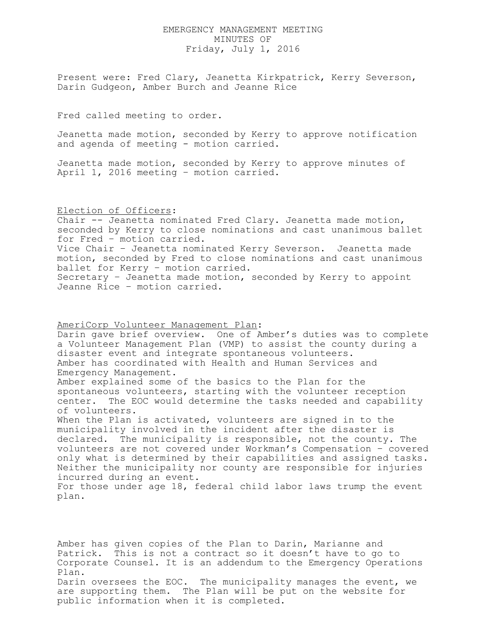## EMERGENCY MANAGEMENT MEETING MINUTES OF Friday, July 1, 2016

Present were: Fred Clary, Jeanetta Kirkpatrick, Kerry Severson, Darin Gudgeon, Amber Burch and Jeanne Rice

Fred called meeting to order.

Jeanetta made motion, seconded by Kerry to approve notification and agenda of meeting - motion carried.

Jeanetta made motion, seconded by Kerry to approve minutes of April 1, 2016 meeting – motion carried.

Election of Officers:

Chair -- Jeanetta nominated Fred Clary. Jeanetta made motion, seconded by Kerry to close nominations and cast unanimous ballet for Fred – motion carried. Vice Chair – Jeanetta nominated Kerry Severson. Jeanetta made motion, seconded by Fred to close nominations and cast unanimous ballet for Kerry – motion carried. Secretary – Jeanetta made motion, seconded by Kerry to appoint Jeanne Rice – motion carried.

AmeriCorp Volunteer Management Plan:

Darin gave brief overview. One of Amber's duties was to complete a Volunteer Management Plan (VMP) to assist the county during a disaster event and integrate spontaneous volunteers. Amber has coordinated with Health and Human Services and Emergency Management.

Amber explained some of the basics to the Plan for the spontaneous volunteers, starting with the volunteer reception center. The EOC would determine the tasks needed and capability of volunteers.

When the Plan is activated, volunteers are signed in to the municipality involved in the incident after the disaster is declared. The municipality is responsible, not the county. The volunteers are not covered under Workman's Compensation – covered only what is determined by their capabilities and assigned tasks. Neither the municipality nor county are responsible for injuries incurred during an event.

For those under age 18, federal child labor laws trump the event plan.

Amber has given copies of the Plan to Darin, Marianne and Patrick. This is not a contract so it doesn't have to go to Corporate Counsel. It is an addendum to the Emergency Operations Plan. Darin oversees the EOC. The municipality manages the event, we are supporting them. The Plan will be put on the website for public information when it is completed.